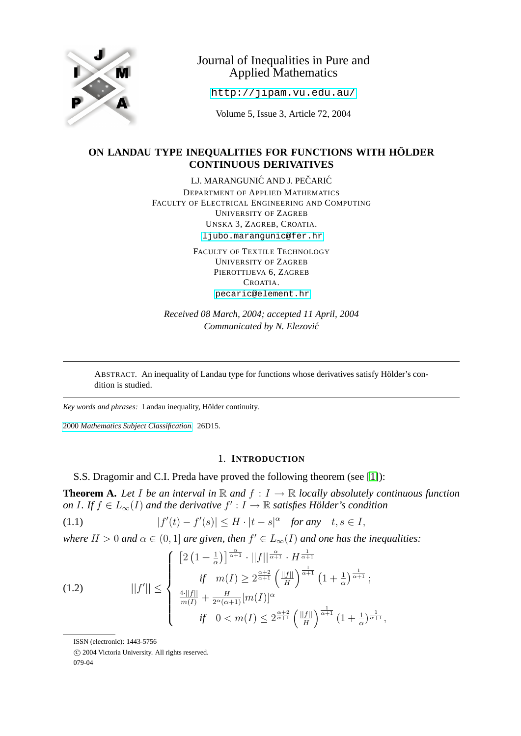

# Journal of Inequalities in Pure and Applied Mathematics

<http://jipam.vu.edu.au/>

Volume 5, Issue 3, Article 72, 2004

## **ON LANDAU TYPE INEQUALITIES FOR FUNCTIONS WITH HÖLDER CONTINUOUS DERIVATIVES**

LJ. MARANGUNIĆ AND J. PEČARIĆ DEPARTMENT OF APPLIED MATHEMATICS FACULTY OF ELECTRICAL ENGINEERING AND COMPUTING UNIVERSITY OF ZAGREB UNSKA 3, ZAGREB, CROATIA. [ljubo.marangunic@fer.hr](mailto:ljubo.marangunic@fer.hr)

> FACULTY OF TEXTILE TECHNOLOGY UNIVERSITY OF ZAGREB PIEROTTIJEVA 6, ZAGREB CROATIA. [pecaric@element.hr](mailto:pecaric@element.hr)

*Received 08 March, 2004; accepted 11 April, 2004 Communicated by N. Elezovi´c*

ABSTRACT. An inequality of Landau type for functions whose derivatives satisfy Hölder's condition is studied.

*Key words and phrases:* Landau inequality, Hölder continuity.

2000 *[Mathematics Subject Classification.](http://www.ams.org/msc/)* 26D15.

## <span id="page-0-1"></span>1. **INTRODUCTION**

S.S. Dragomir and C.I. Preda have proved the following theorem (see [\[1\]](#page-4-0)):

<span id="page-0-0"></span>**Theorem A.** Let I be an interval in  $\mathbb R$  and  $f: I \to \mathbb R$  locally absolutely continuous function *on* I. If  $f \in L_\infty(I)$  and the derivative  $f' : I \to \mathbb{R}$  satisfies Hölder's condition

(1.1) 
$$
|f'(t) - f'(s)| \leq H \cdot |t - s|^{\alpha} \quad \text{for any} \quad t, s \in I,
$$

where  $H > 0$  and  $\alpha \in (0,1]$  are given, then  $f' \in L_{\infty}(I)$  and one has the inequalities:

(1.2) 
$$
||f'|| \leq \begin{cases} \ [2(1+\frac{1}{\alpha})]^{\frac{\alpha}{\alpha+1}} \cdot ||f||^{\frac{\alpha}{\alpha+1}} \cdot H^{\frac{1}{\alpha+1}} \\ \quad \text{if} \quad m(I) \geq 2^{\frac{\alpha+2}{\alpha+1}} \left(\frac{||f||}{H}\right)^{\frac{1}{\alpha+1}} \left(1+\frac{1}{\alpha}\right)^{\frac{1}{\alpha+1}}; \\ \quad \frac{4 \cdot ||f||}{m(I)} + \frac{H}{2^{\alpha}(\alpha+1)} [m(I)]^{\alpha} \\ \quad \text{if} \quad 0 < m(I) \leq 2^{\frac{\alpha+2}{\alpha+1}} \left(\frac{||f||}{H}\right)^{\frac{1}{\alpha+1}} \left(1+\frac{1}{\alpha}\right)^{\frac{1}{\alpha+1}}, \end{cases}
$$

079-04

ISSN (electronic): 1443-5756

c 2004 Victoria University. All rights reserved.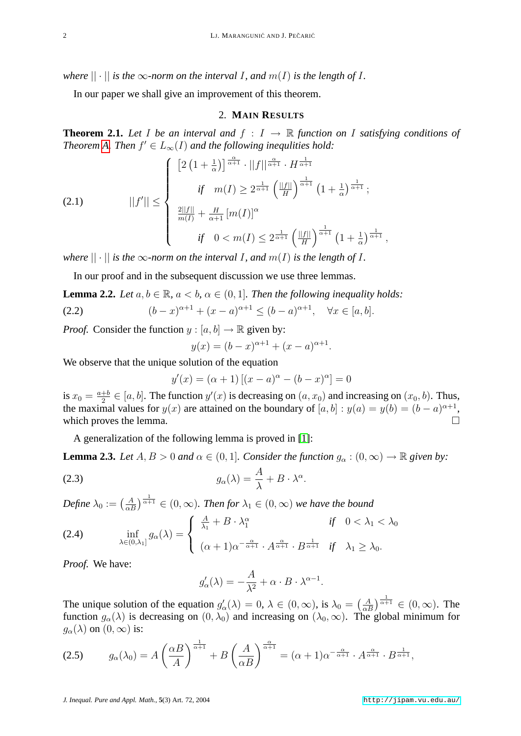*where*  $|| \cdot ||$  *is the*  $\infty$ *-norm on the interval I, and*  $m(I)$  *is the length of I.* 

In our paper we shall give an improvement of this theorem.

### <span id="page-1-4"></span>2. **MAIN RESULTS**

<span id="page-1-2"></span>**Theorem 2.1.** Let I be an interval and  $f: I \to \mathbb{R}$  function on I satisfying conditions of *Theorem* [A.](#page-0-0) *Then*  $f' \in L_\infty(I)$  *and the following inequlities hold:* 

(2.1) 
$$
||f'|| \leq \begin{cases} \left[2\left(1+\frac{1}{\alpha}\right)\right]^{\frac{\alpha}{\alpha+1}} \cdot ||f||^{\frac{\alpha}{\alpha+1}} \cdot H^{\frac{1}{\alpha+1}} \\ \quad \text{if} \quad m(I) \geq 2^{\frac{1}{\alpha+1}} \left(\frac{||f||}{H}\right)^{\frac{1}{\alpha+1}} \left(1+\frac{1}{\alpha}\right)^{\frac{1}{\alpha+1}}; \\ \quad \frac{2||f||}{m(I)} + \frac{H}{\alpha+1} \left[m(I)\right]^{\alpha} \\ \quad \text{if} \quad 0 < m(I) \leq 2^{\frac{1}{\alpha+1}} \left(\frac{||f||}{H}\right)^{\frac{1}{\alpha+1}} \left(1+\frac{1}{\alpha}\right)^{\frac{1}{\alpha+1}}, \end{cases}
$$

*where*  $|| \cdot ||$  *is the*  $\infty$ *-norm on the interval I, and*  $m(I)$  *is the length of I.* 

In our proof and in the subsequent discussion we use three lemmas.

<span id="page-1-3"></span>**Lemma 2.2.** *Let*  $a, b \in \mathbb{R}$ *,*  $a < b$ *,*  $\alpha \in (0, 1]$ *. Then the following inequality holds:* 

(2.2) 
$$
(b-x)^{\alpha+1} + (x-a)^{\alpha+1} \le (b-a)^{\alpha+1}, \quad \forall x \in [a,b].
$$

*Proof.* Consider the function  $y : [a, b] \rightarrow \mathbb{R}$  given by:

$$
y(x) = (b - x)^{\alpha + 1} + (x - a)^{\alpha + 1}.
$$

We observe that the unique solution of the equation

$$
y'(x) = (\alpha + 1) [(x - a)^{\alpha} - (b - x)^{\alpha}] = 0
$$

is  $x_0 = \frac{a+b}{2}$  $\frac{+b}{2} \in [a, b]$ . The function  $y'(x)$  is decreasing on  $(a, x_0)$  and increasing on  $(x_0, b)$ . Thus, the maximal values for  $y(x)$  are attained on the boundary of  $[a, b] : y(a) = y(b) = (b - a)^{\alpha+1}$ , which proves the lemma.  $\Box$ 

A generalization of the following lemma is proved in [\[1\]](#page-4-0):

<span id="page-1-1"></span>**Lemma 2.3.** *Let*  $A, B > 0$  *and*  $\alpha \in (0, 1]$ *. Consider the function*  $g_{\alpha} : (0, \infty) \to \mathbb{R}$  *given by:* 

<span id="page-1-0"></span>.

(2.3) 
$$
g_{\alpha}(\lambda) = \frac{A}{\lambda} + B \cdot \lambda^{\alpha}
$$

Define  $\lambda_0 := \left(\frac{A}{\alpha B}\right)^{\frac{1}{\alpha+1}} \in (0,\infty)$ *. Then for*  $\lambda_1 \in (0,\infty)$  we have the bound

(2.4) 
$$
\inf_{\lambda \in (0,\lambda_1]} g_{\alpha}(\lambda) = \begin{cases} \frac{A}{\lambda_1} + B \cdot \lambda_1^{\alpha} & \text{if } 0 < \lambda_1 < \lambda_0 \\ (\alpha + 1)\alpha^{-\frac{\alpha}{\alpha + 1}} \cdot A^{\frac{\alpha}{\alpha + 1}} \cdot B^{\frac{1}{\alpha + 1}} & \text{if } \lambda_1 \ge \lambda_0. \end{cases}
$$

*Proof.* We have:

$$
g'_{\alpha}(\lambda) = -\frac{A}{\lambda^2} + \alpha \cdot B \cdot \lambda^{\alpha - 1}.
$$

The unique solution of the equation  $g'_{\alpha}(\lambda) = 0$ ,  $\lambda \in (0, \infty)$ , is  $\lambda_0 = \left(\frac{A}{\alpha B}\right)^{\frac{1}{\alpha+1}} \in (0, \infty)$ . The function  $g_{\alpha}(\lambda)$  is decreasing on  $(0, \lambda_0)$  and increasing on  $(\lambda_0, \infty)$ . The global minimum for  $g_{\alpha}(\lambda)$  on  $(0,\infty)$  is:

$$
(2.5) \qquad g_{\alpha}(\lambda_0) = A \left(\frac{\alpha B}{A}\right)^{\frac{1}{\alpha+1}} + B \left(\frac{A}{\alpha B}\right)^{\frac{\alpha}{\alpha+1}} = (\alpha+1)\alpha^{-\frac{\alpha}{\alpha+1}} \cdot A^{\frac{\alpha}{\alpha+1}} \cdot B^{\frac{1}{\alpha+1}},
$$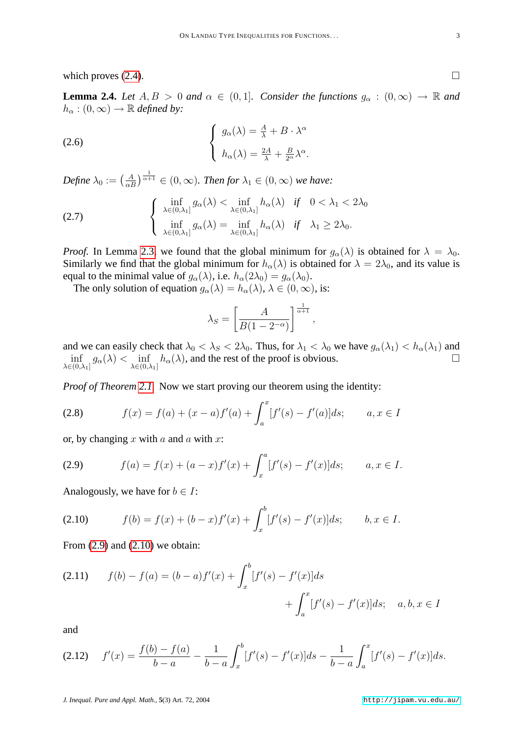which proves  $(2.4)$ .

<span id="page-2-2"></span>**Lemma 2.4.** *Let*  $A, B > 0$  *and*  $\alpha \in (0, 1]$ *. Consider the functions*  $g_{\alpha} : (0, \infty) \to \mathbb{R}$  *and*  $h_{\alpha} : (0, \infty) \rightarrow \mathbb{R}$  *defined by:* 

(2.6) 
$$
\begin{cases} g_{\alpha}(\lambda) = \frac{A}{\lambda} + B \cdot \lambda^{\alpha} \\ h_{\alpha}(\lambda) = \frac{2A}{\lambda} + \frac{B}{2^{\alpha}} \lambda^{\alpha} .\end{cases}
$$

*Define*  $\lambda_0 := \left(\frac{A}{\alpha B}\right)^{\frac{1}{\alpha+1}} \in (0,\infty)$ *. Then for*  $\lambda_1 \in (0,\infty)$  we have:

(2.7) 
$$
\begin{cases}\n\inf_{\lambda \in (0,\lambda_1]} g_{\alpha}(\lambda) < \inf_{\lambda \in (0,\lambda_1]} h_{\alpha}(\lambda) \quad \text{if} \quad 0 < \lambda_1 < 2\lambda_0 \\
\inf_{\lambda \in (0,\lambda_1]} g_{\alpha}(\lambda) = \inf_{\lambda \in (0,\lambda_1]} h_{\alpha}(\lambda) \quad \text{if} \quad \lambda_1 \ge 2\lambda_0.\n\end{cases}
$$

*Proof.* In Lemma [2.3,](#page-1-1) we found that the global minimum for  $g_{\alpha}(\lambda)$  is obtained for  $\lambda = \lambda_0$ . Similarly we find that the global minimum for  $h_{\alpha}(\lambda)$  is obtained for  $\lambda = 2\lambda_0$ , and its value is equal to the minimal value of  $g_{\alpha}(\lambda)$ , i.e.  $h_{\alpha}(2\lambda_0) = g_{\alpha}(\lambda_0)$ .

The only solution of equation  $g_{\alpha}(\lambda) = h_{\alpha}(\lambda)$ ,  $\lambda \in (0, \infty)$ , is:

<span id="page-2-0"></span>
$$
\lambda_S = \left[\frac{A}{B(1 - 2^{-\alpha})}\right]^{\frac{1}{\alpha + 1}},
$$

and we can easily check that  $\lambda_0 < \lambda_S < 2\lambda_0$ . Thus, for  $\lambda_1 < \lambda_0$  we have  $g_\alpha(\lambda_1) < h_\alpha(\lambda_1)$  and  $\inf_{\lambda \in (0,\lambda_1]} g_\alpha(\lambda) < \inf_{\lambda \in (0,\lambda_1]} h_\alpha(\lambda)$ , and the rest of the proof is obvious.

*Proof of Theorem [2.1.](#page-1-2)* Now we start proving our theorem using the identity:

(2.8) 
$$
f(x) = f(a) + (x - a)f'(a) + \int_a^x [f'(s) - f'(a)]ds; \qquad a, x \in I
$$

or, by changing x with a and a with x:

(2.9) 
$$
f(a) = f(x) + (a - x)f'(x) + \int_x^a [f'(s) - f'(x)]ds; \qquad a, x \in I.
$$

<span id="page-2-1"></span>Analogously, we have for  $b \in I$ :

(2.10) 
$$
f(b) = f(x) + (b - x)f'(x) + \int_x^b [f'(s) - f'(x)]ds; \qquad b, x \in I.
$$

From  $(2.9)$  and  $(2.10)$  we obtain:

<span id="page-2-3"></span>(2.11) 
$$
f(b) - f(a) = (b - a)f'(x) + \int_x^b [f'(s) - f'(x)]ds + \int_a^x [f'(s) - f'(x)]ds; \quad a, b, x \in I
$$

and

$$
(2.12) \t f'(x) = \frac{f(b) - f(a)}{b - a} - \frac{1}{b - a} \int_x^b [f'(s) - f'(x)] ds - \frac{1}{b - a} \int_a^x [f'(s) - f'(x)] ds.
$$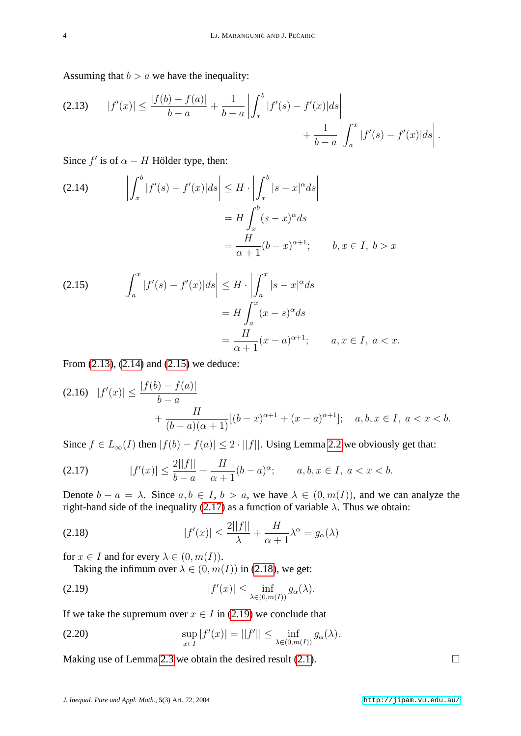Assuming that  $b > a$  we have the inequality:

<span id="page-3-0"></span>
$$
(2.13) \qquad |f'(x)| \le \frac{|f(b) - f(a)|}{b - a} + \frac{1}{b - a} \left| \int_x^b |f'(s) - f'(x)| ds \right| + \frac{1}{b - a} \left| \int_a^x |f'(s) - f'(x)| ds \right|.
$$

Since  $f'$  is of  $\alpha - H$  Hölder type, then:

<span id="page-3-1"></span>(2.14) 
$$
\left| \int_x^b |f'(s) - f'(x)| ds \right| \le H \cdot \left| \int_x^b |s - x|^\alpha ds \right|
$$

$$
= H \int_x^b (s - x)^\alpha ds
$$

$$
= \frac{H}{\alpha + 1} (b - x)^{\alpha + 1}; \qquad b, x \in I, b > x
$$

<span id="page-3-2"></span>(2.15) 
$$
\left| \int_{a}^{x} |f'(s) - f'(x)| ds \right| \leq H \cdot \left| \int_{a}^{x} |s - x|^{\alpha} ds \right|
$$

$$
= H \int_{a}^{x} (x - s)^{\alpha} ds
$$

$$
= \frac{H}{\alpha + 1} (x - a)^{\alpha + 1}; \qquad a, x \in I, a < x.
$$

From [\(2.13\)](#page-3-0), [\(2.14\)](#page-3-1) and [\(2.15\)](#page-3-2) we deduce:

$$
(2.16) \quad |f'(x)| \le \frac{|f(b) - f(a)|}{b - a} + \frac{H}{(b - a)(\alpha + 1)}[(b - x)^{\alpha + 1} + (x - a)^{\alpha + 1}]; \quad a, b, x \in I, \ a < x < b.
$$

Since  $f \in L_{\infty}(I)$  then  $|f(b) - f(a)| \leq 2 \cdot ||f||$ . Using Lemma [2.2](#page-1-3) we obviously get that:

<span id="page-3-3"></span>(2.17) 
$$
|f'(x)| \le \frac{2||f||}{b-a} + \frac{H}{\alpha+1}(b-a)^{\alpha}; \qquad a, b, x \in I, \ a < x < b.
$$

Denote  $b - a = \lambda$ . Since  $a, b \in I$ ,  $b > a$ , we have  $\lambda \in (0, m(I))$ , and we can analyze the right-hand side of the inequality [\(2.17\)](#page-3-3) as a function of variable  $\lambda$ . Thus we obtain:

(2.18) 
$$
|f'(x)| \le \frac{2||f||}{\lambda} + \frac{H}{\alpha + 1} \lambda^{\alpha} = g_{\alpha}(\lambda)
$$

for  $x \in I$  and for every  $\lambda \in (0, m(I))$ .

<span id="page-3-5"></span><span id="page-3-4"></span>Taking the infimum over  $\lambda \in (0, m(I))$  in [\(2.18\)](#page-3-4), we get:

$$
(2.19) \t\t |f'(x)| \leq \inf_{\lambda \in (0,m(I))} g_{\alpha}(\lambda).
$$

If we take the supremum over  $x \in I$  in [\(2.19\)](#page-3-5) we conclude that

(2.20) 
$$
\sup_{x \in I} |f'(x)| = ||f'|| \le \inf_{\lambda \in (0,m(I))} g_{\alpha}(\lambda).
$$

Making use of Lemma [2.3](#page-1-1) we obtain the desired result  $(2.1)$ .